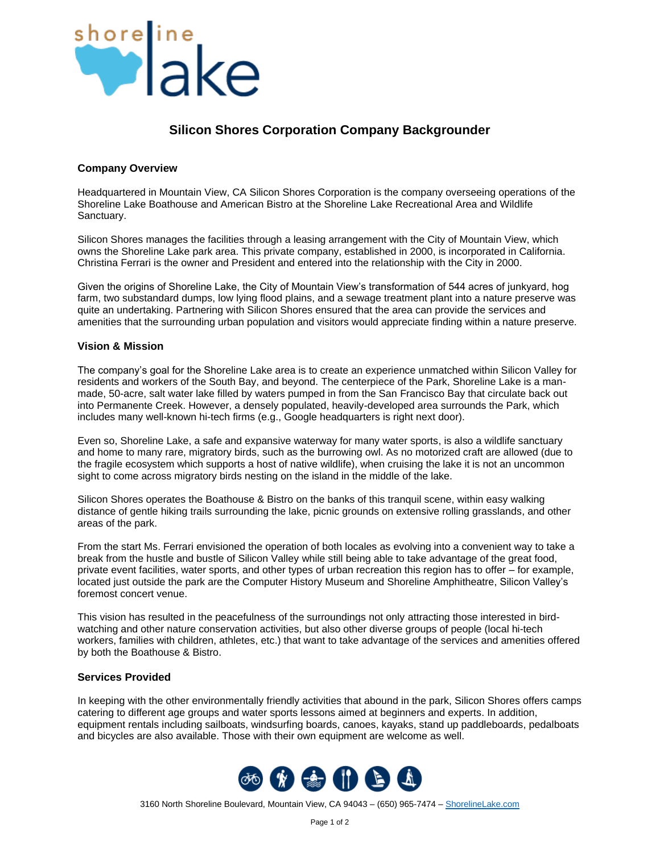

## **Silicon Shores Corporation Company Backgrounder**

## **Company Overview**

Headquartered in Mountain View, CA Silicon Shores Corporation is the company overseeing operations of the Shoreline Lake Boathouse and American Bistro at the Shoreline Lake Recreational Area and Wildlife Sanctuary.

Silicon Shores manages the facilities through a leasing arrangement with the City of Mountain View, which owns the Shoreline Lake park area. This private company, established in 2000, is incorporated in California. Christina Ferrari is the owner and President and entered into the relationship with the City in 2000.

Given the origins of Shoreline Lake, the City of Mountain View's transformation of 544 acres of junkyard, hog farm, two substandard dumps, low lying flood plains, and a sewage treatment plant into a nature preserve was quite an undertaking. Partnering with Silicon Shores ensured that the area can provide the services and amenities that the surrounding urban population and visitors would appreciate finding within a nature preserve.

## **Vision & Mission**

The company's goal for the Shoreline Lake area is to create an experience unmatched within Silicon Valley for residents and workers of the South Bay, and beyond. The centerpiece of the Park, Shoreline Lake is a manmade, 50-acre, salt water lake filled by waters pumped in from the San Francisco Bay that circulate back out into Permanente Creek. However, a densely populated, heavily-developed area surrounds the Park, which includes many well-known hi-tech firms (e.g., Google headquarters is right next door).

Even so, Shoreline Lake, a safe and expansive waterway for many water sports, is also a wildlife sanctuary and home to many rare, migratory birds, such as the burrowing owl. As no motorized craft are allowed (due to the fragile ecosystem which supports a host of native wildlife), when cruising the lake it is not an uncommon sight to come across migratory birds nesting on the island in the middle of the lake.

Silicon Shores operates the Boathouse & Bistro on the banks of this tranquil scene, within easy walking distance of gentle hiking trails surrounding the lake, picnic grounds on extensive rolling grasslands, and other areas of the park.

From the start Ms. Ferrari envisioned the operation of both locales as evolving into a convenient way to take a break from the hustle and bustle of Silicon Valley while still being able to take advantage of the great food, private event facilities, water sports, and other types of urban recreation this region has to offer – for example, located just outside the park are the Computer History Museum and Shoreline Amphitheatre, Silicon Valley's foremost concert venue.

This vision has resulted in the peacefulness of the surroundings not only attracting those interested in birdwatching and other nature conservation activities, but also other diverse groups of people (local hi-tech workers, families with children, athletes, etc.) that want to take advantage of the services and amenities offered by both the Boathouse & Bistro.

## **Services Provided**

In keeping with the other environmentally friendly activities that abound in the park, Silicon Shores offers camps catering to different age groups and water sports lessons aimed at beginners and experts. In addition, equipment rentals including sailboats, windsurfing boards, canoes, kayaks, stand up paddleboards, pedalboats and bicycles are also available. Those with their own equipment are welcome as well.